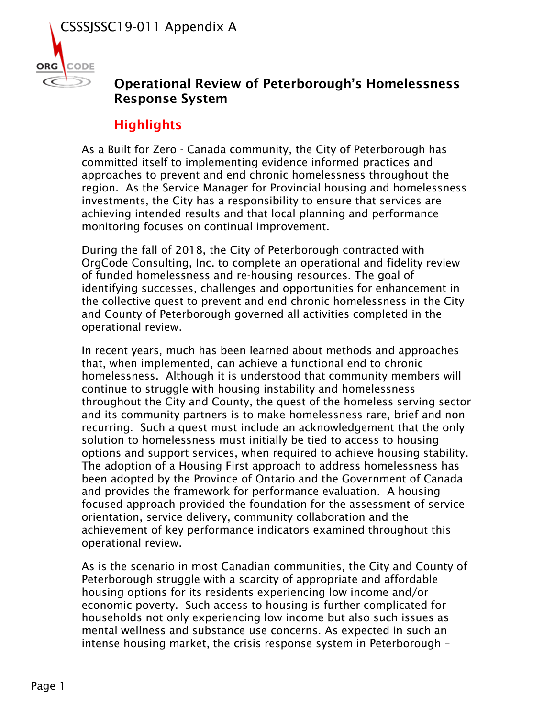

## Operational Review of Peterborough's Homelessness Response System

## **Highlights**

As a Built for Zero - Canada community, the City of Peterborough has committed itself to implementing evidence informed practices and approaches to prevent and end chronic homelessness throughout the region. As the Service Manager for Provincial housing and homelessness investments, the City has a responsibility to ensure that services are achieving intended results and that local planning and performance monitoring focuses on continual improvement.

During the fall of 2018, the City of Peterborough contracted with OrgCode Consulting, Inc. to complete an operational and fidelity review of funded homelessness and re-housing resources. The goal of identifying successes, challenges and opportunities for enhancement in the collective quest to prevent and end chronic homelessness in the City and County of Peterborough governed all activities completed in the operational review.

In recent years, much has been learned about methods and approaches that, when implemented, can achieve a functional end to chronic homelessness. Although it is understood that community members will continue to struggle with housing instability and homelessness throughout the City and County, the quest of the homeless serving sector and its community partners is to make homelessness rare, brief and nonrecurring. Such a quest must include an acknowledgement that the only solution to homelessness must initially be tied to access to housing options and support services, when required to achieve housing stability. The adoption of a Housing First approach to address homelessness has been adopted by the Province of Ontario and the Government of Canada and provides the framework for performance evaluation. A housing focused approach provided the foundation for the assessment of service orientation, service delivery, community collaboration and the achievement of key performance indicators examined throughout this operational review.

As is the scenario in most Canadian communities, the City and County of Peterborough struggle with a scarcity of appropriate and affordable housing options for its residents experiencing low income and/or economic poverty. Such access to housing is further complicated for households not only experiencing low income but also such issues as mental wellness and substance use concerns. As expected in such an intense housing market, the crisis response system in Peterborough –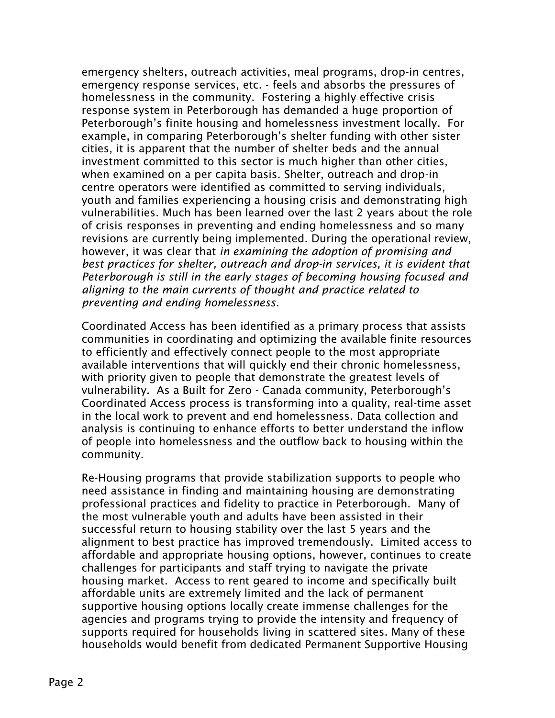emergency shelters, outreach activities, meal programs, drop-in centres, emergency response services, etc. - feels and absorbs the pressures of homelessness in the community. Fostering a highly effective crisis response system in Peterborough has demanded a huge proportion of Peterborough's finite housing and homelessness investment locally. For example, in comparing Peterborough's shelter funding with other sister cities, it is apparent that the number of shelter beds and the annual investment committed to this sector is much higher than other cities, when examined on a per capita basis. Shelter, outreach and drop-in centre operators were identified as committed to serving individuals, youth and families experiencing a housing crisis and demonstrating high vulnerabilities. Much has been learned over the last 2 years about the role of crisis responses in preventing and ending homelessness and so many revisions are currently being implemented. During the operational review, however, it was clear that *in examining the adoption of promising and best practices for shelter, outreach and drop-in services, it is evident that Peterborough is still in the early stages of becoming housing focused and aligning to the main currents of thought and practice related to preventing and ending homelessness.* 

Coordinated Access has been identified as a primary process that assists communities in coordinating and optimizing the available finite resources to efficiently and effectively connect people to the most appropriate available interventions that will quickly end their chronic homelessness, with priority given to people that demonstrate the greatest levels of vulnerability. As a Built for Zero - Canada community, Peterborough's Coordinated Access process is transforming into a quality, real-time asset in the local work to prevent and end homelessness. Data collection and analysis is continuing to enhance efforts to better understand the inflow of people into homelessness and the outflow back to housing within the community.

Re-Housing programs that provide stabilization supports to people who need assistance in finding and maintaining housing are demonstrating professional practices and fidelity to practice in Peterborough. Many of the most vulnerable youth and adults have been assisted in their successful return to housing stability over the last 5 years and the alignment to best practice has improved tremendously. Limited access to affordable and appropriate housing options, however, continues to create challenges for participants and staff trying to navigate the private housing market. Access to rent geared to income and specifically built affordable units are extremely limited and the lack of permanent supportive housing options locally create immense challenges for the agencies and programs trying to provide the intensity and frequency of supports required for households living in scattered sites. Many of these households would benefit from dedicated Permanent Supportive Housing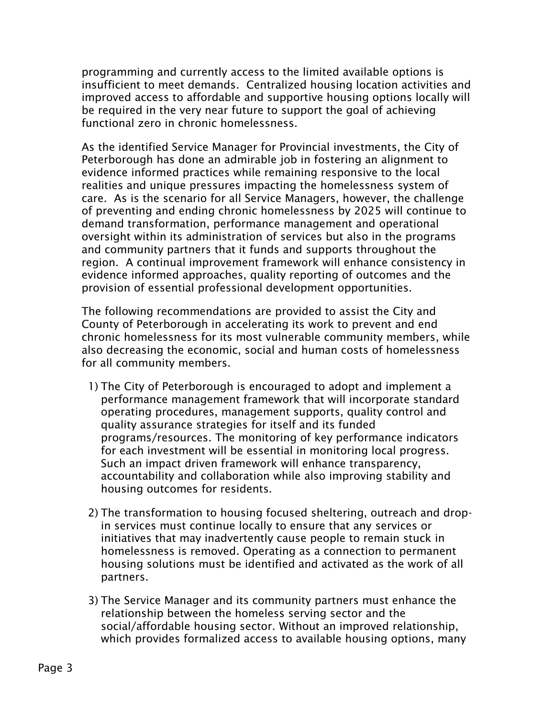programming and currently access to the limited available options is insufficient to meet demands. Centralized housing location activities and improved access to affordable and supportive housing options locally will be required in the very near future to support the goal of achieving functional zero in chronic homelessness.

As the identified Service Manager for Provincial investments, the City of Peterborough has done an admirable job in fostering an alignment to evidence informed practices while remaining responsive to the local realities and unique pressures impacting the homelessness system of care. As is the scenario for all Service Managers, however, the challenge of preventing and ending chronic homelessness by 2025 will continue to demand transformation, performance management and operational oversight within its administration of services but also in the programs and community partners that it funds and supports throughout the region. A continual improvement framework will enhance consistency in evidence informed approaches, quality reporting of outcomes and the provision of essential professional development opportunities.

The following recommendations are provided to assist the City and County of Peterborough in accelerating its work to prevent and end chronic homelessness for its most vulnerable community members, while also decreasing the economic, social and human costs of homelessness for all community members.

- 1) The City of Peterborough is encouraged to adopt and implement a performance management framework that will incorporate standard operating procedures, management supports, quality control and quality assurance strategies for itself and its funded programs/resources. The monitoring of key performance indicators for each investment will be essential in monitoring local progress. Such an impact driven framework will enhance transparency, accountability and collaboration while also improving stability and housing outcomes for residents.
- 2) The transformation to housing focused sheltering, outreach and dropin services must continue locally to ensure that any services or initiatives that may inadvertently cause people to remain stuck in homelessness is removed. Operating as a connection to permanent housing solutions must be identified and activated as the work of all partners.
- 3) The Service Manager and its community partners must enhance the relationship between the homeless serving sector and the social/affordable housing sector. Without an improved relationship, which provides formalized access to available housing options, many